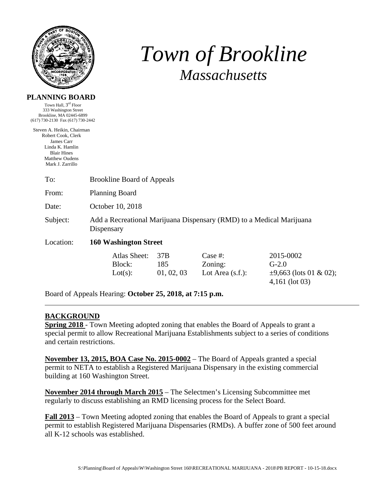

# *Town of Brookline Massachusetts*

| I LANNING DUAIND                 |  |
|----------------------------------|--|
| Town Hall, 3 <sup>rd</sup> Floor |  |

333 Washington Street Brookline, MA 02445-6899 (617) 730-2130 Fax (617) 730-2442

Steven A. Heikin, Chairman Robert Cook, Clerk James Carr Linda K. Hamlin Blair Hines Matthew Oudens Mark J. Zarrillo

| To:       | <b>Brookline Board of Appeals</b>                                                  |                          |                                              |                                                                         |  |
|-----------|------------------------------------------------------------------------------------|--------------------------|----------------------------------------------|-------------------------------------------------------------------------|--|
| From:     | <b>Planning Board</b>                                                              |                          |                                              |                                                                         |  |
| Date:     | October 10, 2018                                                                   |                          |                                              |                                                                         |  |
| Subject:  | Add a Recreational Marijuana Dispensary (RMD) to a Medical Marijuana<br>Dispensary |                          |                                              |                                                                         |  |
| Location: | <b>160 Washington Street</b>                                                       |                          |                                              |                                                                         |  |
|           | Atlas Sheet:<br>Block:<br>Lot(s):                                                  | 37B<br>185<br>01, 02, 03 | Case $#$ :<br>Zoning:<br>Lot Area $(s.f.)$ : | 2015-0002<br>$G-2.0$<br>$\pm 9,663$ (lots 01 & 02);<br>$4,161$ (lot 03) |  |

Board of Appeals Hearing: **October 25, 2018, at 7:15 p.m.** 

## **BACKGROUND**

**Spring 2018** - Town Meeting adopted zoning that enables the Board of Appeals to grant a special permit to allow Recreational Marijuana Establishments subject to a series of conditions and certain restrictions.

**November 13, 2015, BOA Case No. 2015-0002** – The Board of Appeals granted a special permit to NETA to establish a Registered Marijuana Dispensary in the existing commercial building at 160 Washington Street.

**November 2014 through March 2015** – The Selectmen's Licensing Subcommittee met regularly to discuss establishing an RMD licensing process for the Select Board.

**Fall 2013** – Town Meeting adopted zoning that enables the Board of Appeals to grant a special permit to establish Registered Marijuana Dispensaries (RMDs). A buffer zone of 500 feet around all K-12 schools was established.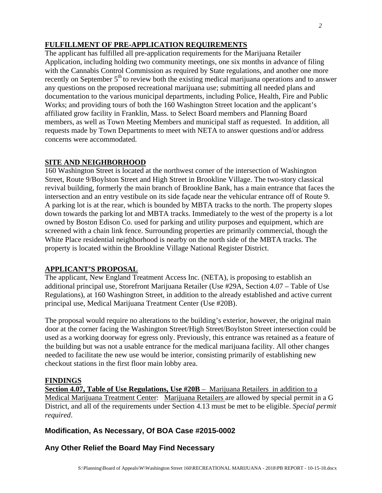## **FULFILLMENT OF PRE-APPLICATION REQUIREMENTS**

The applicant has fulfilled all pre-application requirements for the Marijuana Retailer Application, including holding two community meetings, one six months in advance of filing with the Cannabis Control Commission as required by State regulations, and another one more recently on September 5<sup>th</sup> to review both the existing medical marijuana operations and to answer any questions on the proposed recreational marijuana use; submitting all needed plans and documentation to the various municipal departments, including Police, Health, Fire and Public Works; and providing tours of both the 160 Washington Street location and the applicant's affiliated grow facility in Franklin, Mass. to Select Board members and Planning Board members, as well as Town Meeting Members and municipal staff as requested. In addition, all requests made by Town Departments to meet with NETA to answer questions and/or address concerns were accommodated.

#### **SITE AND NEIGHBORHOOD**

160 Washington Street is located at the northwest corner of the intersection of Washington Street, Route 9/Boylston Street and High Street in Brookline Village. The two-story classical revival building, formerly the main branch of Brookline Bank, has a main entrance that faces the intersection and an entry vestibule on its side façade near the vehicular entrance off of Route 9. A parking lot is at the rear, which is bounded by MBTA tracks to the north. The property slopes down towards the parking lot and MBTA tracks. Immediately to the west of the property is a lot owned by Boston Edison Co. used for parking and utility purposes and equipment, which are screened with a chain link fence. Surrounding properties are primarily commercial, though the White Place residential neighborhood is nearby on the north side of the MBTA tracks. The property is located within the Brookline Village National Register District.

### **APPLICANT'S PROPOSAL**

The applicant, New England Treatment Access Inc. (NETA), is proposing to establish an additional principal use, Storefront Marijuana Retailer (Use #29A, Section 4.07 – Table of Use Regulations), at 160 Washington Street, in addition to the already established and active current principal use, Medical Marijuana Treatment Center (Use #20B).

The proposal would require no alterations to the building's exterior, however, the original main door at the corner facing the Washington Street/High Street/Boylston Street intersection could be used as a working doorway for egress only. Previously, this entrance was retained as a feature of the building but was not a usable entrance for the medical marijuana facility. All other changes needed to facilitate the new use would be interior, consisting primarily of establishing new checkout stations in the first floor main lobby area.

### **FINDINGS**

**Section 4.07, Table of Use Regulations, Use #20B** – Marijuana Retailers in addition to a Medical Marijuana Treatment Center: Marijuana Retailers are allowed by special permit in a G District, and all of the requirements under Section 4.13 must be met to be eligible. *Special permit required*.

### **Modification, As Necessary, Of BOA Case #2015-0002**

### **Any Other Relief the Board May Find Necessary**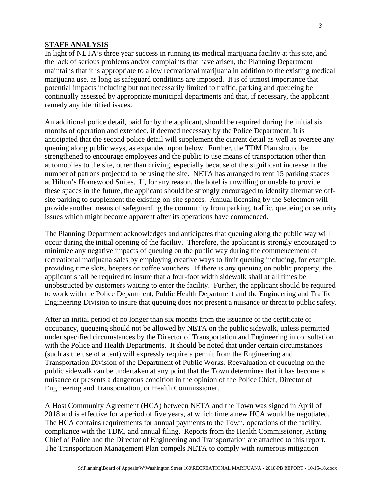#### **STAFF ANALYSIS**

In light of NETA's three year success in running its medical marijuana facility at this site, and the lack of serious problems and/or complaints that have arisen, the Planning Department maintains that it is appropriate to allow recreational marijuana in addition to the existing medical marijuana use, as long as safeguard conditions are imposed. It is of utmost importance that potential impacts including but not necessarily limited to traffic, parking and queueing be continually assessed by appropriate municipal departments and that, if necessary, the applicant remedy any identified issues.

An additional police detail, paid for by the applicant, should be required during the initial six months of operation and extended, if deemed necessary by the Police Department. It is anticipated that the second police detail will supplement the current detail as well as oversee any queuing along public ways, as expanded upon below. Further, the TDM Plan should be strengthened to encourage employees and the public to use means of transportation other than automobiles to the site, other than driving, especially because of the significant increase in the number of patrons projected to be using the site. NETA has arranged to rent 15 parking spaces at Hilton's Homewood Suites. If, for any reason, the hotel is unwilling or unable to provide these spaces in the future, the applicant should be strongly encouraged to identify alternative offsite parking to supplement the existing on-site spaces. Annual licensing by the Selectmen will provide another means of safeguarding the community from parking, traffic, queueing or security issues which might become apparent after its operations have commenced.

The Planning Department acknowledges and anticipates that queuing along the public way will occur during the initial opening of the facility. Therefore, the applicant is strongly encouraged to minimize any negative impacts of queuing on the public way during the commencement of recreational marijuana sales by employing creative ways to limit queuing including, for example, providing time slots, beepers or coffee vouchers. If there is any queuing on public property, the applicant shall be required to insure that a four-foot width sidewalk shall at all times be unobstructed by customers waiting to enter the facility. Further, the applicant should be required to work with the Police Department, Public Health Department and the Engineering and Traffic Engineering Division to insure that queuing does not present a nuisance or threat to public safety.

After an initial period of no longer than six months from the issuance of the certificate of occupancy, queueing should not be allowed by NETA on the public sidewalk, unless permitted under specified circumstances by the Director of Transportation and Engineering in consultation with the Police and Health Departments. It should be noted that under certain circumstances (such as the use of a tent) will expressly require a permit from the Engineering and Transportation Division of the Department of Public Works. Reevaluation of queueing on the public sidewalk can be undertaken at any point that the Town determines that it has become a nuisance or presents a dangerous condition in the opinion of the Police Chief, Director of Engineering and Transportation, or Health Commissioner.

A Host Community Agreement (HCA) between NETA and the Town was signed in April of 2018 and is effective for a period of five years, at which time a new HCA would be negotiated. The HCA contains requirements for annual payments to the Town, operations of the facility, compliance with the TDM, and annual filing. Reports from the Health Commissioner, Acting Chief of Police and the Director of Engineering and Transportation are attached to this report. The Transportation Management Plan compels NETA to comply with numerous mitigation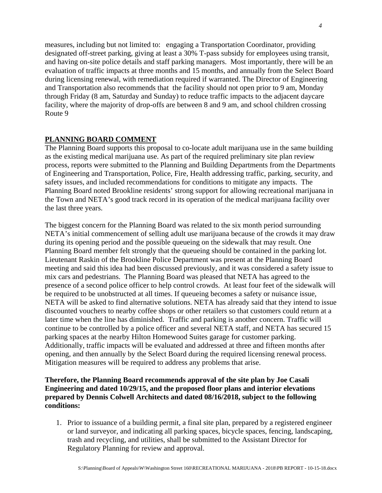measures, including but not limited to: engaging a Transportation Coordinator, providing designated off-street parking, giving at least a 30% T-pass subsidy for employees using transit, and having on-site police details and staff parking managers. Most importantly, there will be an evaluation of traffic impacts at three months and 15 months, and annually from the Select Board during licensing renewal, with remediation required if warranted. The Director of Engineering and Transportation also recommends that the facility should not open prior to 9 am, Monday through Friday (8 am, Saturday and Sunday) to reduce traffic impacts to the adjacent daycare facility, where the majority of drop-offs are between 8 and 9 am, and school children crossing Route 9

#### **PLANNING BOARD COMMENT**

The Planning Board supports this proposal to co-locate adult marijuana use in the same building as the existing medical marijuana use. As part of the required preliminary site plan review process, reports were submitted to the Planning and Building Departments from the Departments of Engineering and Transportation, Police, Fire, Health addressing traffic, parking, security, and safety issues, and included recommendations for conditions to mitigate any impacts. The Planning Board noted Brookline residents' strong support for allowing recreational marijuana in the Town and NETA's good track record in its operation of the medical marijuana facility over the last three years.

The biggest concern for the Planning Board was related to the six month period surrounding NETA's initial commencement of selling adult use marijuana because of the crowds it may draw during its opening period and the possible queueing on the sidewalk that may result. One Planning Board member felt strongly that the queueing should be contained in the parking lot. Lieutenant Raskin of the Brookline Police Department was present at the Planning Board meeting and said this idea had been discussed previously, and it was considered a safety issue to mix cars and pedestrians. The Planning Board was pleased that NETA has agreed to the presence of a second police officer to help control crowds. At least four feet of the sidewalk will be required to be unobstructed at all times. If queueing becomes a safety or nuisance issue, NETA will be asked to find alternative solutions. NETA has already said that they intend to issue discounted vouchers to nearby coffee shops or other retailers so that customers could return at a later time when the line has diminished. Traffic and parking is another concern. Traffic will continue to be controlled by a police officer and several NETA staff, and NETA has secured 15 parking spaces at the nearby Hilton Homewood Suites garage for customer parking. Additionally, traffic impacts will be evaluated and addressed at three and fifteen months after opening, and then annually by the Select Board during the required licensing renewal process. Mitigation measures will be required to address any problems that arise.

#### **Therefore, the Planning Board recommends approval of the site plan by Joe Casali Engineering and dated 10/29/15, and the proposed floor plans and interior elevations prepared by Dennis Colwell Architects and dated 08/16/2018, subject to the following conditions:**

1. Prior to issuance of a building permit, a final site plan, prepared by a registered engineer or land surveyor, and indicating all parking spaces, bicycle spaces, fencing, landscaping, trash and recycling, and utilities, shall be submitted to the Assistant Director for Regulatory Planning for review and approval.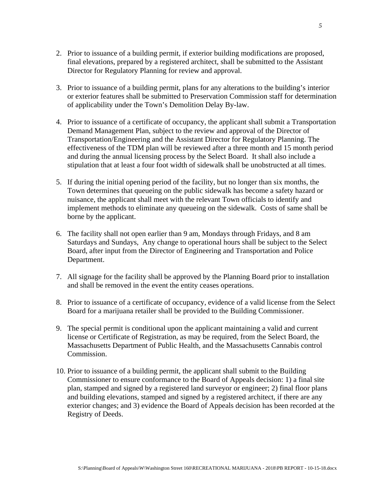- 2. Prior to issuance of a building permit, if exterior building modifications are proposed, final elevations, prepared by a registered architect, shall be submitted to the Assistant Director for Regulatory Planning for review and approval.
- 3. Prior to issuance of a building permit, plans for any alterations to the building's interior or exterior features shall be submitted to Preservation Commission staff for determination of applicability under the Town's Demolition Delay By-law.
- 4. Prior to issuance of a certificate of occupancy, the applicant shall submit a Transportation Demand Management Plan, subject to the review and approval of the Director of Transportation/Engineering and the Assistant Director for Regulatory Planning. The effectiveness of the TDM plan will be reviewed after a three month and 15 month period and during the annual licensing process by the Select Board. It shall also include a stipulation that at least a four foot width of sidewalk shall be unobstructed at all times.
- 5. If during the initial opening period of the facility, but no longer than six months, the Town determines that queueing on the public sidewalk has become a safety hazard or nuisance, the applicant shall meet with the relevant Town officials to identify and implement methods to eliminate any queueing on the sidewalk. Costs of same shall be borne by the applicant.
- 6. The facility shall not open earlier than 9 am, Mondays through Fridays, and 8 am Saturdays and Sundays, Any change to operational hours shall be subject to the Select Board, after input from the Director of Engineering and Transportation and Police Department.
- 7. All signage for the facility shall be approved by the Planning Board prior to installation and shall be removed in the event the entity ceases operations.
- 8. Prior to issuance of a certificate of occupancy, evidence of a valid license from the Select Board for a marijuana retailer shall be provided to the Building Commissioner.
- 9. The special permit is conditional upon the applicant maintaining a valid and current license or Certificate of Registration, as may be required, from the Select Board, the Massachusetts Department of Public Health, and the Massachusetts Cannabis control Commission.
- 10. Prior to issuance of a building permit, the applicant shall submit to the Building Commissioner to ensure conformance to the Board of Appeals decision: 1) a final site plan, stamped and signed by a registered land surveyor or engineer; 2) final floor plans and building elevations, stamped and signed by a registered architect, if there are any exterior changes; and 3) evidence the Board of Appeals decision has been recorded at the Registry of Deeds.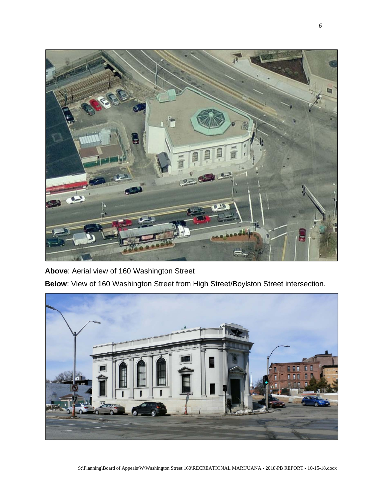

**Above**: Aerial view of 160 Washington Street

**Below**: View of 160 Washington Street from High Street/Boylston Street intersection.